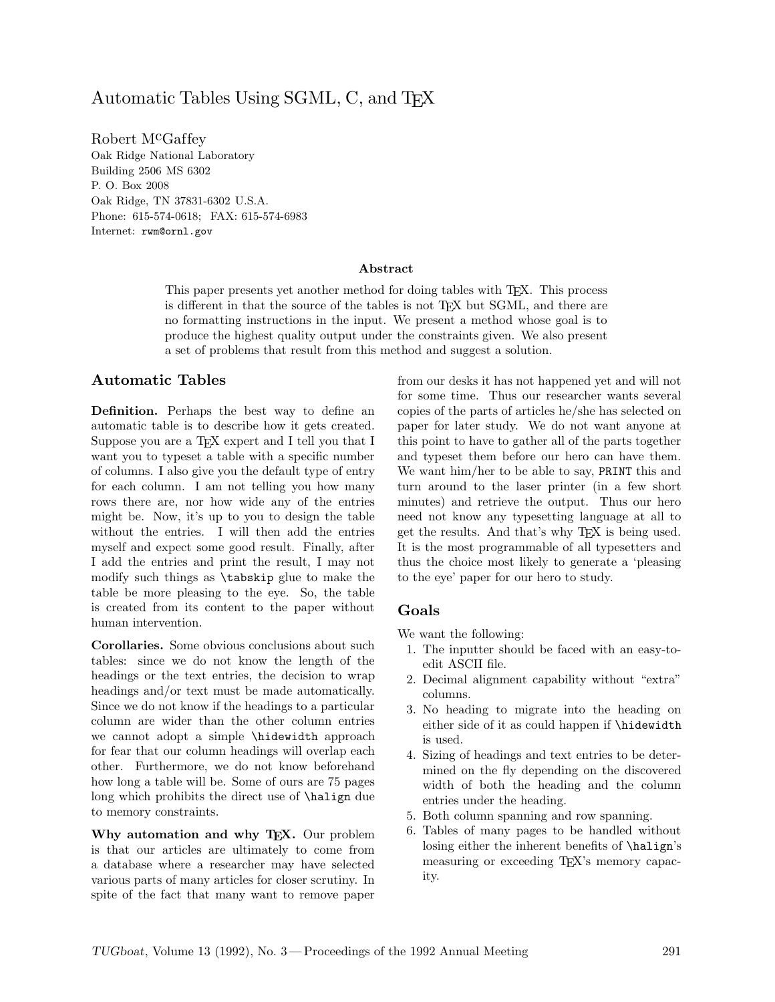## Automatic Tables Using SGML, C, and TFX

Robert M<sup>c</sup>Gaffey Oak Ridge National Laboratory Building 2506 MS 6302 P. O. Box 2008 Oak Ridge, TN 37831-6302 U.S.A. Phone: 615-574-0618; FAX: 615-574-6983 Internet: rwm@ornl.gov

#### **Abstract**

This paper presents yet another method for doing tables with T<sub>E</sub>X. This process is different in that the source of the tables is not TFX but SGML, and there are no formatting instructions in the input. We present a method whose goal is to produce the highest quality output under the constraints given. We also present a set of problems that result from this method and suggest a solution.

#### **Automatic Tables**

**Definition.** Perhaps the best way to define an automatic table is to describe how it gets created. Suppose you are a TFX expert and I tell you that I want you to typeset a table with a specific number of columns. I also give you the default type of entry for each column. I am not telling you how many rows there are, nor how wide any of the entries might be. Now, it's up to you to design the table without the entries. I will then add the entries myself and expect some good result. Finally, after I add the entries and print the result, I may not modify such things as \tabskip glue to make the table be more pleasing to the eye. So, the table is created from its content to the paper without human intervention.

**Corollaries.** Some obvious conclusions about such tables: since we do not know the length of the headings or the text entries, the decision to wrap headings and/or text must be made automatically. Since we do not know if the headings to a particular column are wider than the other column entries we cannot adopt a simple \hidewidth approach for fear that our column headings will overlap each other. Furthermore, we do not know beforehand how long a table will be. Some of ours are 75 pages long which prohibits the direct use of **\halign** due to memory constraints.

**Why automation and why TEX.** Our problem is that our articles are ultimately to come from a database where a researcher may have selected various parts of many articles for closer scrutiny. In spite of the fact that many want to remove paper from our desks it has not happened yet and will not for some time. Thus our researcher wants several copies of the parts of articles he/she has selected on paper for later study. We do not want anyone at this point to have to gather all of the parts together and typeset them before our hero can have them. We want him/her to be able to say, PRINT this and turn around to the laser printer (in a few short minutes) and retrieve the output. Thus our hero need not know any typesetting language at all to get the results. And that's why TEX is being used. It is the most programmable of all typesetters and thus the choice most likely to generate a 'pleasing to the eye' paper for our hero to study.

#### **Goals**

We want the following:

- 1. The inputter should be faced with an easy-toedit ASCII file.
- 2. Decimal alignment capability without "extra" columns.
- 3. No heading to migrate into the heading on either side of it as could happen if \hidewidth is used.
- 4. Sizing of headings and text entries to be determined on the fly depending on the discovered width of both the heading and the column entries under the heading.
- 5. Both column spanning and row spanning.
- 6. Tables of many pages to be handled without losing either the inherent benefits of \halign's measuring or exceeding TEX's memory capacity.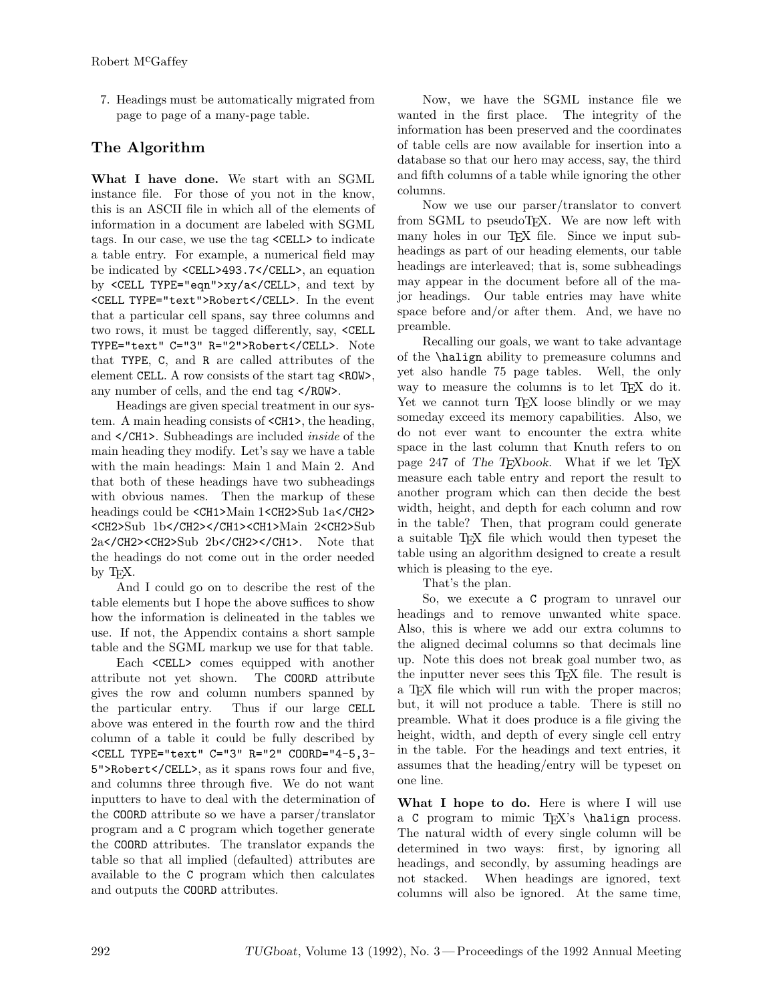7. Headings must be automatically migrated from page to page of a many-page table.

## **The Algorithm**

**What I have done.** We start with an SGML instance file. For those of you not in the know, this is an ASCII file in which all of the elements of information in a document are labeled with SGML tags. In our case, we use the tag <CELL> to indicate a table entry. For example, a numerical field may be indicated by <CELL>493.7</CELL>, an equation by <CELL TYPE="eqn">xy/a</CELL>, and text by <CELL TYPE="text">Robert</CELL>. In the event that a particular cell spans, say three columns and two rows, it must be tagged differently, say, <CELL TYPE="text" C="3" R="2">Robert</CELL>. Note that TYPE, C, and R are called attributes of the element CELL. A row consists of the start tag <ROW>, any number of cells, and the end tag </ROW>.

Headings are given special treatment in our system. A main heading consists of <CH1>, the heading, and </CH1>. Subheadings are included *inside* of the main heading they modify. Let's say we have a table with the main headings: Main 1 and Main 2. And that both of these headings have two subheadings with obvious names. Then the markup of these headings could be <CH1>Main 1<CH2>Sub 1a</CH2> <CH2>Sub 1b</CH2></CH1><CH1>Main 2<CH2>Sub 2a</CH2><CH2>Sub 2b</CH2></CH1>. Note that the headings do not come out in the order needed by T<sub>F</sub>X.

And I could go on to describe the rest of the table elements but I hope the above suffices to show how the information is delineated in the tables we use. If not, the Appendix contains a short sample table and the SGML markup we use for that table.

Each <CELL> comes equipped with another attribute not yet shown. The COORD attribute gives the row and column numbers spanned by the particular entry. Thus if our large CELL above was entered in the fourth row and the third column of a table it could be fully described by <CELL TYPE="text" C="3" R="2" COORD="4-5,3- 5">Robert</CELL>, as it spans rows four and five, and columns three through five. We do not want inputters to have to deal with the determination of the COORD attribute so we have a parser/translator program and a C program which together generate the COORD attributes. The translator expands the table so that all implied (defaulted) attributes are available to the C program which then calculates and outputs the COORD attributes.

Now, we have the SGML instance file we wanted in the first place. The integrity of the information has been preserved and the coordinates of table cells are now available for insertion into a database so that our hero may access, say, the third and fifth columns of a table while ignoring the other columns.

Now we use our parser/translator to convert from SGML to pseudoTEX. We are now left with many holes in our T<sub>EX</sub> file. Since we input subheadings as part of our heading elements, our table headings are interleaved; that is, some subheadings may appear in the document before all of the major headings. Our table entries may have white space before and/or after them. And, we have no preamble.

Recalling our goals, we want to take advantage of the \halign ability to premeasure columns and yet also handle 75 page tables. Well, the only way to measure the columns is to let TFX do it. Yet we cannot turn T<sub>EX</sub> loose blindly or we may someday exceed its memory capabilities. Also, we do not ever want to encounter the extra white space in the last column that Knuth refers to on page 247 of *The T<sub>E</sub>Xbook*. What if we let T<sub>F</sub>X measure each table entry and report the result to another program which can then decide the best width, height, and depth for each column and row in the table? Then, that program could generate a suitable TEX file which would then typeset the table using an algorithm designed to create a result which is pleasing to the eye.

That's the plan.

So, we execute a C program to unravel our headings and to remove unwanted white space. Also, this is where we add our extra columns to the aligned decimal columns so that decimals line up. Note this does not break goal number two, as the inputter never sees this TEX file. The result is a T<sub>E</sub>X file which will run with the proper macros; but, it will not produce a table. There is still no preamble. What it does produce is a file giving the height, width, and depth of every single cell entry in the table. For the headings and text entries, it assumes that the heading/entry will be typeset on one line.

**What I hope to do.** Here is where I will use a C program to mimic T<sub>EX</sub>'s \halign process. The natural width of every single column will be determined in two ways: first, by ignoring all headings, and secondly, by assuming headings are not stacked. When headings are ignored, text columns will also be ignored. At the same time,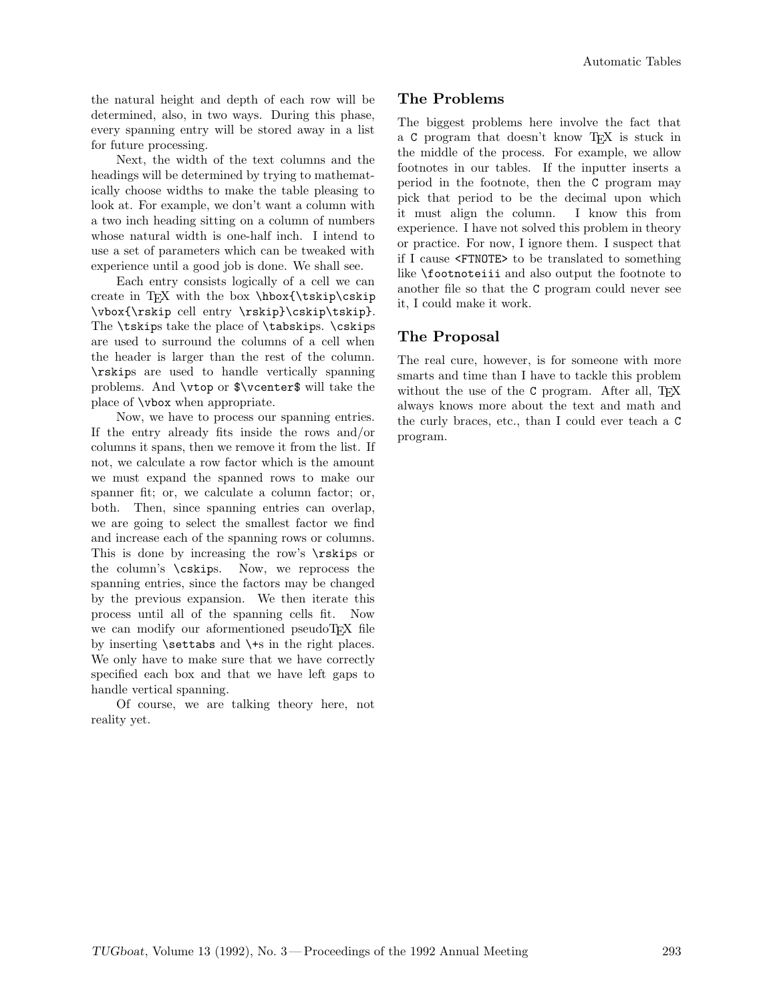the natural height and depth of each row will be determined, also, in two ways. During this phase, every spanning entry will be stored away in a list for future processing.

Next, the width of the text columns and the headings will be determined by trying to mathematically choose widths to make the table pleasing to look at. For example, we don't want a column with a two inch heading sitting on a column of numbers whose natural width is one-half inch. I intend to use a set of parameters which can be tweaked with experience until a good job is done. We shall see.

Each entry consists logically of a cell we can create in T<sub>F</sub>X with the box  $\hbar$ skip $\c$ skip \vbox{\rskip cell entry \rskip}\cskip\tskip}. The \tskips take the place of \tabskips. \cskips are used to surround the columns of a cell when the header is larger than the rest of the column. \rskips are used to handle vertically spanning problems. And \vtop or \$\vcenter\$ will take the place of \vbox when appropriate.

Now, we have to process our spanning entries. If the entry already fits inside the rows and/or columns it spans, then we remove it from the list. If not, we calculate a row factor which is the amount we must expand the spanned rows to make our spanner fit; or, we calculate a column factor; or, both. Then, since spanning entries can overlap, we are going to select the smallest factor we find and increase each of the spanning rows or columns. This is done by increasing the row's \rskips or the column's \cskips. Now, we reprocess the spanning entries, since the factors may be changed by the previous expansion. We then iterate this process until all of the spanning cells fit. Now we can modify our aformentioned pseudoTEX file by inserting  $\setminus$  settabs and  $\setminus$  in the right places. We only have to make sure that we have correctly specified each box and that we have left gaps to handle vertical spanning.

Of course, we are talking theory here, not reality yet.

#### **The Problems**

The biggest problems here involve the fact that a C program that doesn't know TEX is stuck in the middle of the process. For example, we allow footnotes in our tables. If the inputter inserts a period in the footnote, then the C program may pick that period to be the decimal upon which it must align the column. I know this from experience. I have not solved this problem in theory or practice. For now, I ignore them. I suspect that if I cause <FTNOTE> to be translated to something like \footnoteiii and also output the footnote to another file so that the C program could never see it, I could make it work.

### **The Proposal**

The real cure, however, is for someone with more smarts and time than I have to tackle this problem without the use of the C program. After all, TEX always knows more about the text and math and the curly braces, etc., than I could ever teach a C program.